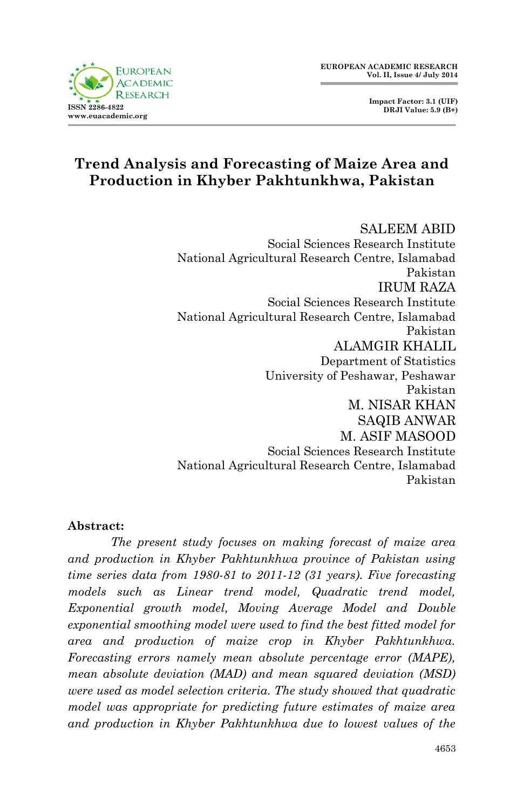



## **Trend Analysis and Forecasting of Maize Area and Production in Khyber Pakhtunkhwa, Pakistan**

SALEEM ABID Social Sciences Research Institute National Agricultural Research Centre, Islamabad Pakistan IRUM RAZA Social Sciences Research Institute National Agricultural Research Centre, Islamabad Pakistan ALAMGIR KHALIL Department of Statistics University of Peshawar, Peshawar Pakistan M. NISAR KHAN SAQIB ANWAR M. ASIF MASOOD Social Sciences Research Institute National Agricultural Research Centre, Islamabad Pakistan

#### **Abstract:**

*The present study focuses on making forecast of maize area and production in Khyber Pakhtunkhwa province of Pakistan using time series data from 1980-81 to 2011-12 (31 years). Five forecasting models such as Linear trend model, Quadratic trend model, Exponential growth model, Moving Average Model and Double exponential smoothing model were used to find the best fitted model for area and production of maize crop in Khyber Pakhtunkhwa. Forecasting errors namely mean absolute percentage error (MAPE), mean absolute deviation (MAD) and mean squared deviation (MSD) were used as model selection criteria. The study showed that quadratic model was appropriate for predicting future estimates of maize area and production in Khyber Pakhtunkhwa due to lowest values of the*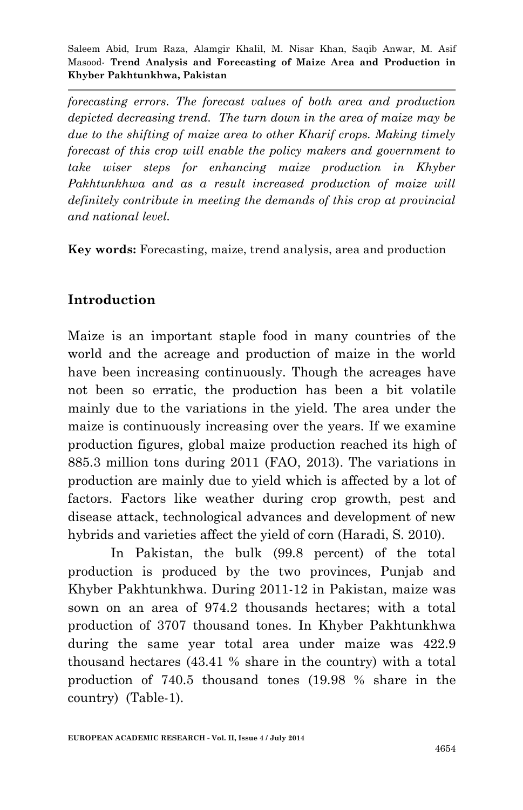*forecasting errors. The forecast values of both area and production depicted decreasing trend. The turn down in the area of maize may be due to the shifting of maize area to other Kharif crops. Making timely forecast of this crop will enable the policy makers and government to take wiser steps for enhancing maize production in Khyber*  Pakhtunkhwa and as a result increased production of maize will *definitely contribute in meeting the demands of this crop at provincial and national level.* 

**Key words:** Forecasting, maize, trend analysis, area and production

### **Introduction**

Maize is an important staple food in many countries of the world and the acreage and production of maize in the world have been increasing continuously. Though the acreages have not been so erratic, the production has been a bit volatile mainly due to the variations in the yield. The area under the maize is continuously increasing over the years. If we examine production figures, global maize production reached its high of 885.3 million tons during 2011 (FAO, 2013). The variations in production are mainly due to yield which is affected by a lot of factors. Factors like weather during crop growth, pest and disease attack, technological advances and development of new hybrids and varieties affect the yield of corn (Haradi, S. 2010).

In Pakistan, the bulk (99.8 percent) of the total production is produced by the two provinces, Punjab and Khyber Pakhtunkhwa. During 2011-12 in Pakistan, maize was sown on an area of 974.2 thousands hectares; with a total production of 3707 thousand tones. In Khyber Pakhtunkhwa during the same year total area under maize was 422.9 thousand hectares (43.41 % share in the country) with a total production of 740.5 thousand tones (19.98 % share in the country) (Table-1).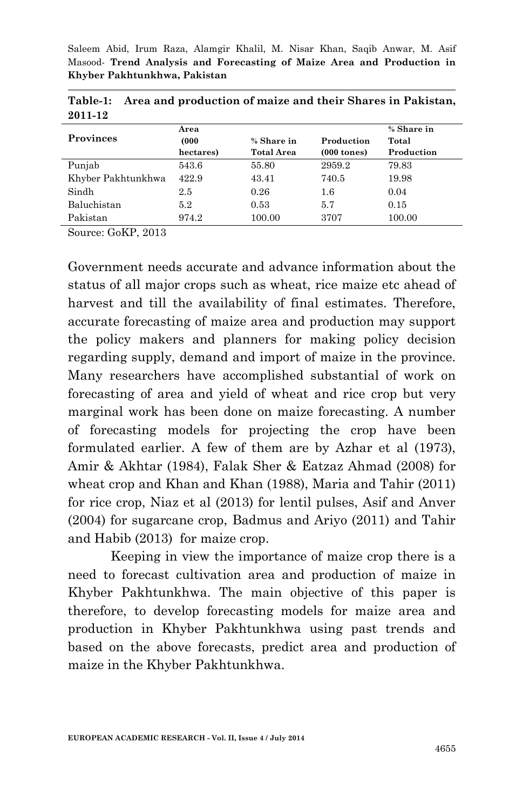| <b>Provinces</b>   | Area<br>(000)<br>hectares) | % Share in<br><b>Total Area</b> | Production<br>$(000 \text{ tones})$ | % Share in<br>Total<br>Production |
|--------------------|----------------------------|---------------------------------|-------------------------------------|-----------------------------------|
| Punjab             | 543.6                      | 55.80                           | 2959.2                              | 79.83                             |
| Khyber Pakhtunkhwa | 422.9                      | 43.41                           | 740.5                               | 19.98                             |
| Sindh              | 2.5                        | 0.26                            | 1.6                                 | 0.04                              |
| Baluchistan        | 5.2                        | 0.53                            | 5.7                                 | 0.15                              |
| Pakistan           | 974.2                      | 100.00                          | 3707                                | 100.00                            |

**Table-1: Area and production of maize and their Shares in Pakistan, 2011-12**

Source: GoKP, 2013

Government needs accurate and advance information about the status of all major crops such as wheat, rice maize etc ahead of harvest and till the availability of final estimates. Therefore, accurate forecasting of maize area and production may support the policy makers and planners for making policy decision regarding supply, demand and import of maize in the province. Many researchers have accomplished substantial of work on forecasting of area and yield of wheat and rice crop but very marginal work has been done on maize forecasting. A number of forecasting models for projecting the crop have been formulated earlier. A few of them are by Azhar et al (1973), Amir & Akhtar (1984), Falak Sher & Eatzaz Ahmad (2008) for wheat crop and Khan and Khan (1988), Maria and Tahir (2011) for rice crop, Niaz et al (2013) for lentil pulses, Asif and Anver (2004) for sugarcane crop, Badmus and Ariyo (2011) and Tahir and Habib (2013) for maize crop.

Keeping in view the importance of maize crop there is a need to forecast cultivation area and production of maize in Khyber Pakhtunkhwa. The main objective of this paper is therefore, to develop forecasting models for maize area and production in Khyber Pakhtunkhwa using past trends and based on the above forecasts, predict area and production of maize in the Khyber Pakhtunkhwa.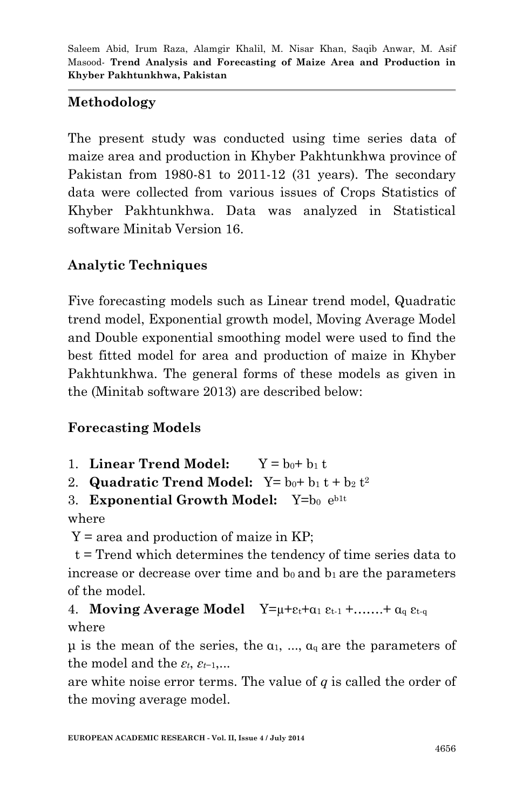# **Methodology**

The present study was conducted using time series data of maize area and production in Khyber Pakhtunkhwa province of Pakistan from 1980-81 to 2011-12 (31 years). The secondary data were collected from various issues of Crops Statistics of Khyber Pakhtunkhwa. Data was analyzed in Statistical software Minitab Version 16.

# **Analytic Techniques**

Five forecasting models such as Linear trend model, Quadratic trend model, Exponential growth model, Moving Average Model and Double exponential smoothing model were used to find the best fitted model for area and production of maize in Khyber Pakhtunkhwa. The general forms of these models as given in the (Minitab software 2013) are described below:

# **Forecasting Models**

- 1. **Linear Trend Model:**  $Y = b_0 + b_1 t$
- 2. **Quadratic Trend Model:**  $Y = b_0 + b_1 t + b_2 t^2$
- 3. **Exponential Growth Model:** Y=b<sub>0</sub> e<sup>b1t</sup>

where

 $Y = \text{area}$  and production of maize in KP;

 t = Trend which determines the tendency of time series data to increase or decrease over time and  $b_0$  and  $b_1$  are the parameters of the model.

# 4. **Moving Average Model**  $Y=\mu+\varepsilon_t+\alpha_1 \varepsilon_{t-1} + \ldots + \alpha_q \varepsilon_{t-q}$ where

 $\mu$  is the mean of the series, the  $\alpha_1$ , ...,  $\alpha_q$  are the parameters of the model and the  $\varepsilon_t$ ,  $\varepsilon_{t-1}$ ,...

are white noise error terms. The value of *q* is called the order of the moving average model.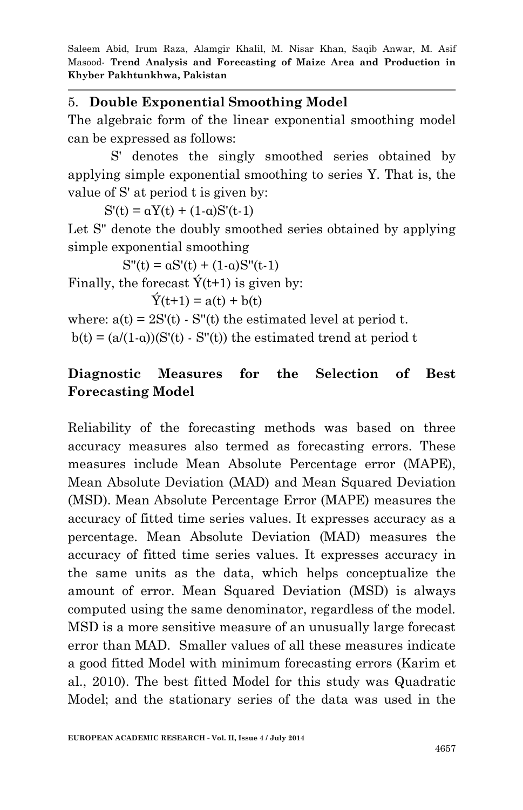### 5. **Double Exponential Smoothing Model**

The algebraic form of the linear exponential smoothing model can be expressed as follows:

S' denotes the singly smoothed series obtained by applying simple exponential smoothing to series Y. That is, the value of S' at period t is given by:

 $S'(t) = \alpha Y(t) + (1-\alpha)S'(t-1)$ 

Let S" denote the doubly smoothed series obtained by applying simple exponential smoothing

 $S''(t) = \alpha S'(t) + (1-\alpha)S''(t-1)$ 

Finally, the forecast  $\acute{Y}(t+1)$  is given by:

 $\acute{Y}(t+1) = a(t) + b(t)$ 

where:  $a(t) = 2S'(t) - S''(t)$  the estimated level at period t.

 $b(t) = (a/(1-a))(S'(t) - S''(t))$  the estimated trend at period t

## **Diagnostic Measures for the Selection of Best Forecasting Model**

Reliability of the forecasting methods was based on three accuracy measures also termed as forecasting errors. These measures include Mean Absolute Percentage error (MAPE), Mean Absolute Deviation (MAD) and Mean Squared Deviation (MSD). Mean Absolute Percentage Error (MAPE) measures the accuracy of fitted time series values. It expresses accuracy as a percentage. Mean Absolute Deviation (MAD) measures the accuracy of fitted time series values. It expresses accuracy in the same units as the data, which helps conceptualize the amount of error. Mean Squared Deviation (MSD) is always computed using the same denominator, regardless of the model. MSD is a more sensitive measure of an unusually large forecast error than MAD. Smaller values of all these measures indicate a good fitted Model with minimum forecasting errors (Karim et al., 2010). The best fitted Model for this study was Quadratic Model; and the stationary series of the data was used in the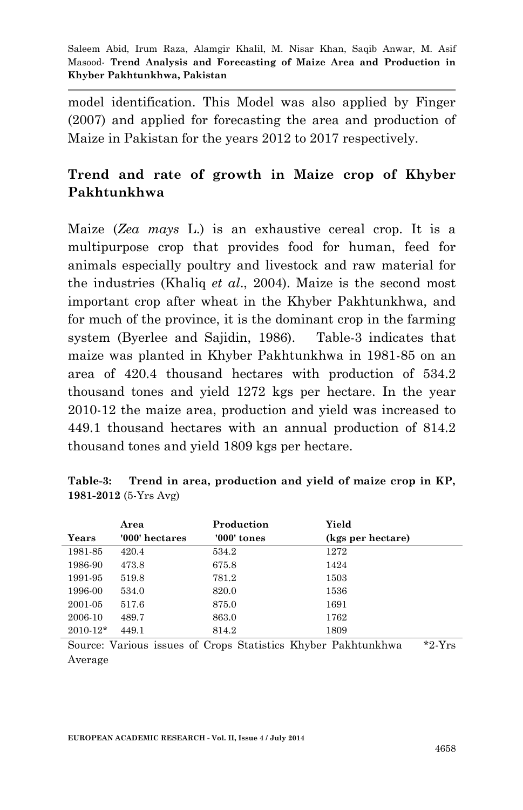model identification. This Model was also applied by Finger (2007) and applied for forecasting the area and production of Maize in Pakistan for the years 2012 to 2017 respectively.

## **Trend and rate of growth in Maize crop of Khyber Pakhtunkhwa**

Maize (*Zea mays* L.) is an exhaustive cereal crop. It is a multipurpose crop that provides food for human, feed for animals especially poultry and livestock and raw material for the industries (Khaliq *et al*., 2004). Maize is the second most important crop after wheat in the Khyber Pakhtunkhwa, and for much of the province, it is the dominant crop in the farming system (Byerlee and Sajidin, 1986). Table-3 indicates that maize was planted in Khyber Pakhtunkhwa in 1981-85 on an area of 420.4 thousand hectares with production of 534.2 thousand tones and yield 1272 kgs per hectare. In the year 2010-12 the maize area, production and yield was increased to 449.1 thousand hectares with an annual production of 814.2 thousand tones and yield 1809 kgs per hectare.

|              | Area           | Production    | Yield             |
|--------------|----------------|---------------|-------------------|
| Years        | '000' hectares | $'000'$ tones | (kgs per hectare) |
| 1981-85      | 420.4          | 534.2         | 1272              |
| 1986-90      | 473.8          | 675.8         | 1424              |
| 1991-95      | 519.8          | 781.2         | 1503              |
| 1996-00      | 534.0          | 820.0         | 1536              |
| 2001-05      | 517.6          | 875.0         | 1691              |
| 2006-10      | 489.7          | 863.0         | 1762              |
| $2010 - 12*$ | 449.1          | 814.2         | 1809              |

| Table-3:                     |  | Trend in area, production and yield of maize crop in KP, |  |  |  |  |
|------------------------------|--|----------------------------------------------------------|--|--|--|--|
| 1981-2012 $(5 - Yrs \; Avg)$ |  |                                                          |  |  |  |  |

Source: Various issues of Crops Statistics Khyber Pakhtunkhwa \*2-Yrs Average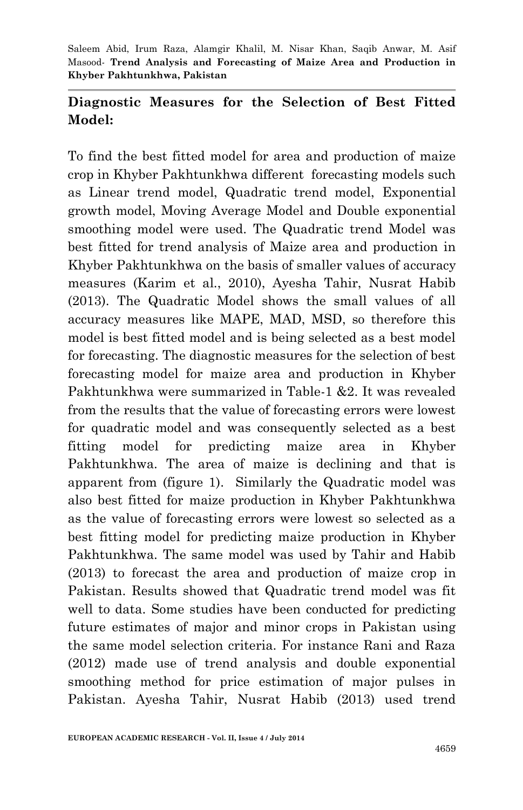## **Diagnostic Measures for the Selection of Best Fitted Model:**

To find the best fitted model for area and production of maize crop in Khyber Pakhtunkhwa different forecasting models such as Linear trend model, Quadratic trend model, Exponential growth model, Moving Average Model and Double exponential smoothing model were used. The Quadratic trend Model was best fitted for trend analysis of Maize area and production in Khyber Pakhtunkhwa on the basis of smaller values of accuracy measures (Karim et al., 2010), Ayesha Tahir, Nusrat Habib (2013). The Quadratic Model shows the small values of all accuracy measures like MAPE, MAD, MSD, so therefore this model is best fitted model and is being selected as a best model for forecasting. The diagnostic measures for the selection of best forecasting model for maize area and production in Khyber Pakhtunkhwa were summarized in Table-1 &2. It was revealed from the results that the value of forecasting errors were lowest for quadratic model and was consequently selected as a best fitting model for predicting maize area in Khyber Pakhtunkhwa. The area of maize is declining and that is apparent from (figure 1). Similarly the Quadratic model was also best fitted for maize production in Khyber Pakhtunkhwa as the value of forecasting errors were lowest so selected as a best fitting model for predicting maize production in Khyber Pakhtunkhwa. The same model was used by Tahir and Habib (2013) to forecast the area and production of maize crop in Pakistan. Results showed that Quadratic trend model was fit well to data. Some studies have been conducted for predicting future estimates of major and minor crops in Pakistan using the same model selection criteria. For instance Rani and Raza (2012) made use of trend analysis and double exponential smoothing method for price estimation of major pulses in Pakistan. Ayesha Tahir, Nusrat Habib (2013) used trend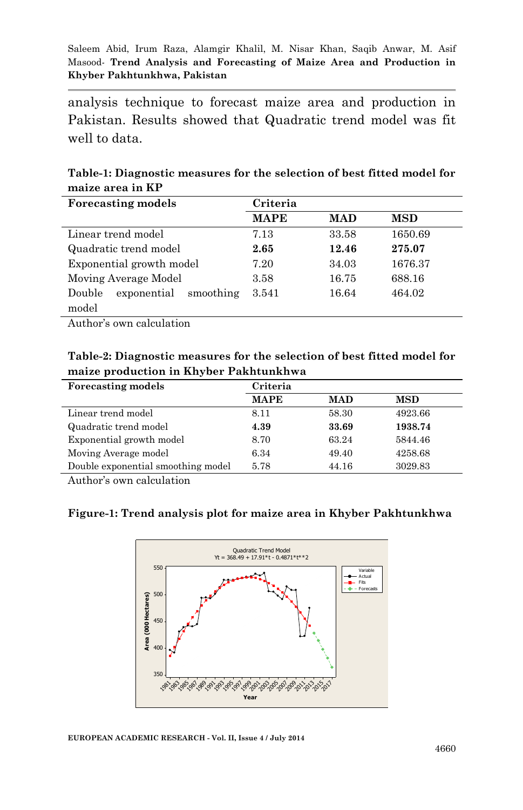analysis technique to forecast maize area and production in Pakistan. Results showed that Quadratic trend model was fit well to data.

**Table-1: Diagnostic measures for the selection of best fitted model for maize area in KP**

| <b>Forecasting models</b>          | Criteria    |            |            |  |
|------------------------------------|-------------|------------|------------|--|
|                                    | <b>MAPE</b> | <b>MAD</b> | <b>MSD</b> |  |
| Linear trend model                 | 7.13        | 33.58      | 1650.69    |  |
| Quadratic trend model              | 2.65        | 12.46      | 275.07     |  |
| Exponential growth model           | 7.20        | 34.03      | 1676.37    |  |
| Moving Average Model               | 3.58        | 16.75      | 688.16     |  |
| exponential<br>Double<br>smoothing | 3.541       | 16.64      | 464.02     |  |
| model                              |             |            |            |  |

Author's own calculation

#### **Table-2: Diagnostic measures for the selection of best fitted model for maize production in Khyber Pakhtunkhwa**

| <b>Forecasting models</b>          | Criteria    |            |            |
|------------------------------------|-------------|------------|------------|
|                                    | <b>MAPE</b> | <b>MAD</b> | <b>MSD</b> |
| Linear trend model                 | 8.11        | 58.30      | 4923.66    |
| Quadratic trend model              | 4.39        | 33.69      | 1938.74    |
| Exponential growth model           | 8.70        | 63.24      | 5844.46    |
| Moving Average model               | 6.34        | 49.40      | 4258.68    |
| Double exponential smoothing model | 5.78        | 44.16      | 3029.83    |

Author's own calculation

#### **Figure-1: Trend analysis plot for maize area in Khyber Pakhtunkhwa**

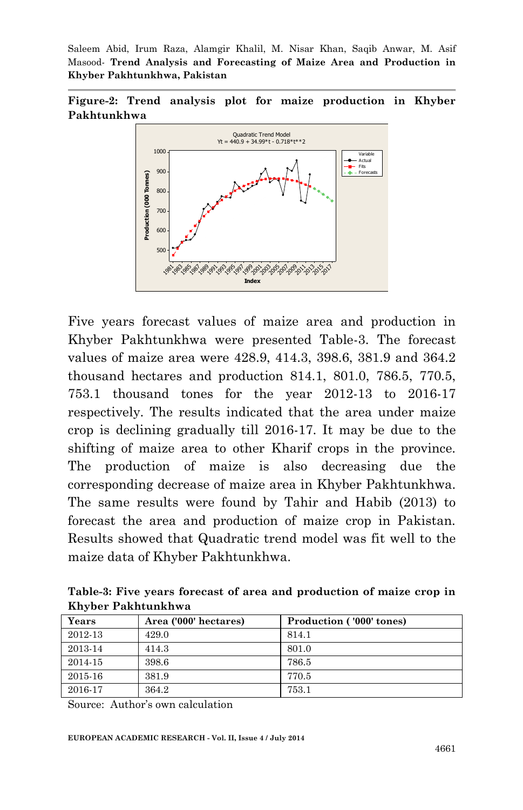**Figure-2: Trend analysis plot for maize production in Khyber Pakhtunkhwa**



Five years forecast values of maize area and production in Khyber Pakhtunkhwa were presented Table-3. The forecast values of maize area were 428.9, 414.3, 398.6, 381.9 and 364.2 thousand hectares and production 814.1, 801.0, 786.5, 770.5, 753.1 thousand tones for the year 2012-13 to 2016-17 respectively. The results indicated that the area under maize crop is declining gradually till 2016-17. It may be due to the shifting of maize area to other Kharif crops in the province. The production of maize is also decreasing due the corresponding decrease of maize area in Khyber Pakhtunkhwa. The same results were found by Tahir and Habib (2013) to forecast the area and production of maize crop in Pakistan. Results showed that Quadratic trend model was fit well to the maize data of Khyber Pakhtunkhwa.

**Table-3: Five years forecast of area and production of maize crop in Khyber Pakhtunkhwa**

| Years   | Area ('000' hectares) | Production ('000' tones) |
|---------|-----------------------|--------------------------|
| 2012-13 | 429.0                 | 814.1                    |
| 2013-14 | 414.3                 | 801.0                    |
| 2014-15 | 398.6                 | 786.5                    |
| 2015-16 | 381.9                 | 770.5                    |
| 2016-17 | 364.2                 | 753.1                    |

Source: Author's own calculation

**EUROPEAN ACADEMIC RESEARCH - Vol. II, Issue 4 / July 2014**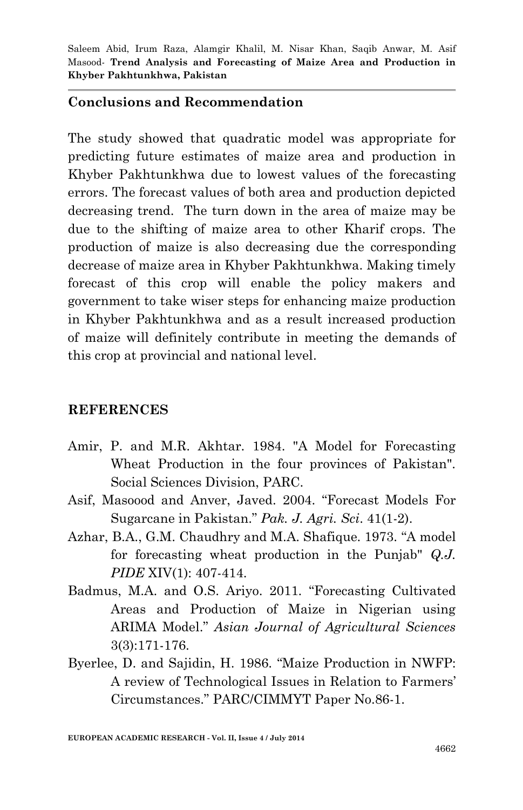#### **Conclusions and Recommendation**

The study showed that quadratic model was appropriate for predicting future estimates of maize area and production in Khyber Pakhtunkhwa due to lowest values of the forecasting errors. The forecast values of both area and production depicted decreasing trend. The turn down in the area of maize may be due to the shifting of maize area to other Kharif crops. The production of maize is also decreasing due the corresponding decrease of maize area in Khyber Pakhtunkhwa. Making timely forecast of this crop will enable the policy makers and government to take wiser steps for enhancing maize production in Khyber Pakhtunkhwa and as a result increased production of maize will definitely contribute in meeting the demands of this crop at provincial and national level.

#### **REFERENCES**

- Amir, P. and M.R. Akhtar. 1984. "A Model for Forecasting Wheat Production in the four provinces of Pakistan". Social Sciences Division, PARC.
- Asif, Masoood and Anver, Javed. 2004. "Forecast Models For Sugarcane in Pakistan." *Pak. J. Agri. Sci*. 41(1-2).
- Azhar, B.A., G.M. Chaudhry and M.A. Shafique. 1973. "A model for forecasting wheat production in the Punjab" *Q.J. PIDE* XIV(1): 407-414.
- Badmus, M.A. and O.S. Ariyo. 2011. "Forecasting Cultivated Areas and Production of Maize in Nigerian using ARIMA Model." *Asian Journal of Agricultural Sciences* 3(3):171-176.
- Byerlee, D. and Sajidin, H. 1986. "Maize Production in NWFP: A review of Technological Issues in Relation to Farmers' Circumstances." PARC/CIMMYT Paper No.86-1.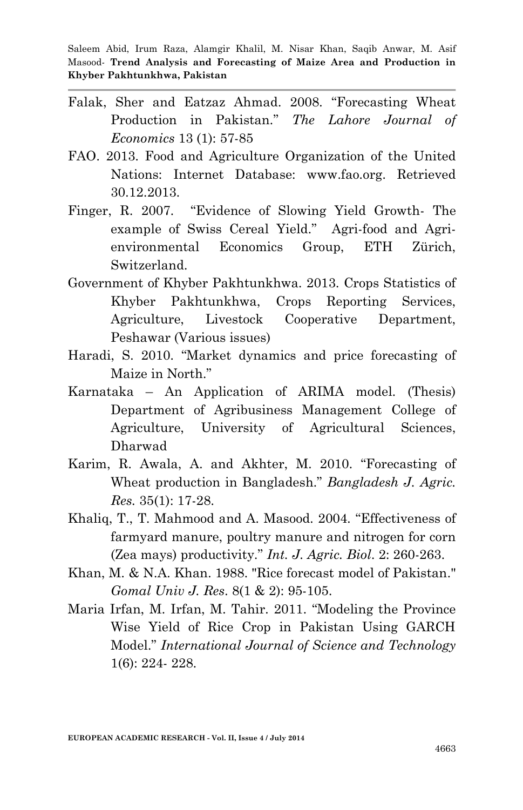- Falak, Sher and Eatzaz Ahmad. 2008. "Forecasting Wheat Production in Pakistan." *The Lahore Journal of Economics* 13 (1): 57-85
- FAO. 2013. Food and Agriculture Organization of the United Nations: Internet Database: www.fao.org. Retrieved 30.12.2013.
- Finger, R. 2007. "Evidence of Slowing Yield Growth- The example of Swiss Cereal Yield." Agri-food and Agrienvironmental Economics Group, ETH Zürich, Switzerland.
- Government of Khyber Pakhtunkhwa. 2013. Crops Statistics of Khyber Pakhtunkhwa, Crops Reporting Services, Agriculture, Livestock Cooperative Department, Peshawar (Various issues)
- Haradi, S. 2010. "Market dynamics and price forecasting of Maize in North."
- Karnataka An Application of ARIMA model. (Thesis) Department of Agribusiness Management College of Agriculture, University of Agricultural Sciences, Dharwad
- Karim, R. Awala, A. and Akhter, M. 2010. "Forecasting of Wheat production in Bangladesh." *Bangladesh J. Agric. Res.* 35(1): 17-28.
- Khaliq, T., T. Mahmood and A. Masood. 2004. "Effectiveness of farmyard manure, poultry manure and nitrogen for corn (Zea mays) productivity." *Int. J. Agric. Biol*. 2: 260-263.
- Khan, M. & N.A. Khan. 1988. "Rice forecast model of Pakistan." *Gomal Univ J. Res*. 8(1 & 2): 95-105.
- Maria Irfan, M. Irfan, M. Tahir. 2011. "Modeling the Province Wise Yield of Rice Crop in Pakistan Using GARCH Model." *International Journal of Science and Technology* 1(6): 224- 228.